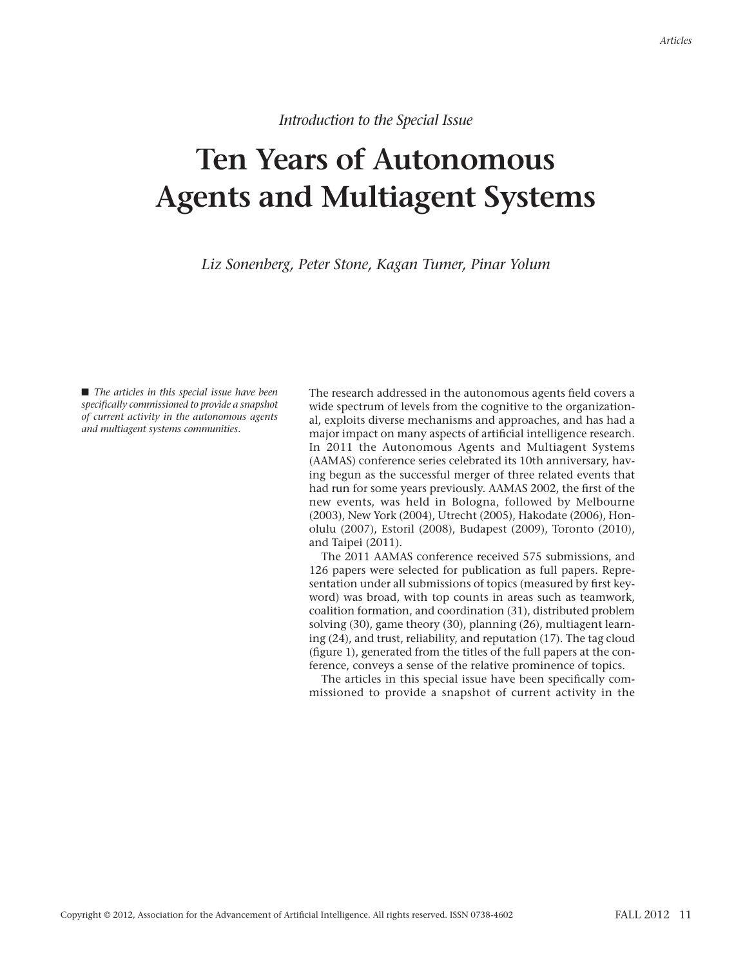*Introduction to the Special Issue*

## **Ten Years of Autonomous Agents and Multiagent Systems**

*Liz Sonenberg, Peter Stone, Kagan Tumer, Pinar Yolum*

■ *The articles in this special issue have been specifically commissioned to provide a snapshot of current activity in the autonomous agents and multiagent systems communities.*

The research addressed in the autonomous agents field covers a wide spectrum of levels from the cognitive to the organizational, exploits diverse mechanisms and approaches, and has had a major impact on many aspects of artificial intelligence research. In 2011 the Autonomous Agents and Multiagent Systems (AAMAS) conference series celebrated its 10th anniversary, having begun as the successful merger of three related events that had run for some years previously. AAMAS 2002, the first of the new events, was held in Bologna, followed by Melbourne (2003), New York (2004), Utrecht (2005), Hakodate (2006), Honolulu (2007), Estoril (2008), Budapest (2009), Toronto (2010), and Taipei (2011).

The 2011 AAMAS conference received 575 submissions, and 126 papers were selected for publication as full papers. Representation under all submissions of topics (measured by first keyword) was broad, with top counts in areas such as teamwork, coalition formation, and coordination (31), distributed problem solving (30), game theory (30), planning (26), multiagent learning (24), and trust, reliability, and reputation (17). The tag cloud (figure 1), generated from the titles of the full papers at the conference, conveys a sense of the relative prominence of topics.

The articles in this special issue have been specifically commissioned to provide a snapshot of current activity in the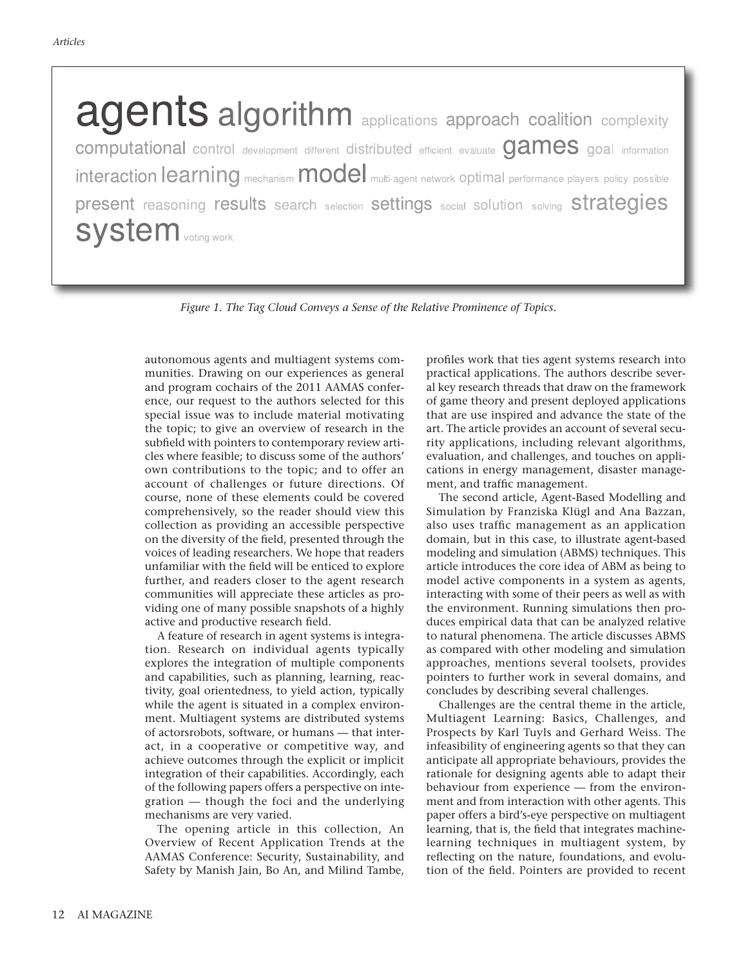agents algorithm applications approach coalition complexity computational control development different distributed efficient evaluate games goal information interaction learning mechanism model multi-agent network optimal performance players policy possible present reasoning results search selection settings social solution solving strategies **System** voting work

*Figure 1. The Tag Cloud Conveys a Sense of the Relative Prominence of Topics.*

autonomous agents and multiagent systems communities. Drawing on our experiences as general and program cochairs of the 2011 AAMAS conference, our request to the authors selected for this special issue was to include material motivating the topic; to give an overview of research in the subfield with pointers to contemporary review articles where feasible; to discuss some of the authors' own contributions to the topic; and to offer an account of challenges or future directions. Of course, none of these elements could be covered comprehensively, so the reader should view this collection as providing an accessible perspective on the diversity of the field, presented through the voices of leading researchers. We hope that readers unfamiliar with the field will be enticed to explore further, and readers closer to the agent research communities will appreciate these articles as providing one of many possible snapshots of a highly active and productive research field.

A feature of research in agent systems is integration. Research on individual agents typically explores the integration of multiple components and capabilities, such as planning, learning, reactivity, goal orientedness, to yield action, typically while the agent is situated in a complex environment. Multiagent systems are distributed systems of actorsrobots, software, or humans — that interact, in a cooperative or competitive way, and achieve outcomes through the explicit or implicit integration of their capabilities. Accordingly, each of the following papers offers a perspective on integration — though the foci and the underlying mechanisms are very varied.

The opening article in this collection, An Overview of Recent Application Trends at the AAMAS Conference: Security, Sustainability, and Safety by Manish Jain, Bo An, and Milind Tambe,

profiles work that ties agent systems research into practical applications. The authors describe several key research threads that draw on the framework of game theory and present deployed applications that are use inspired and advance the state of the art. The article provides an account of several security applications, including relevant algorithms, evaluation, and challenges, and touches on applications in energy management, disaster management, and traffic management.

The second article, Agent-Based Modelling and Simulation by Franziska Klügl and Ana Bazzan, also uses traffic management as an application domain, but in this case, to illustrate agent-based modeling and simulation (ABMS) techniques. This article introduces the core idea of ABM as being to model active components in a system as agents, interacting with some of their peers as well as with the environment. Running simulations then produces empirical data that can be analyzed relative to natural phenomena. The article discusses ABMS as compared with other modeling and simulation approaches, mentions several toolsets, provides pointers to further work in several domains, and concludes by describing several challenges.

Challenges are the central theme in the article, Multiagent Learning: Basics, Challenges, and Prospects by Karl Tuyls and Gerhard Weiss. The infeasibility of engineering agents so that they can anticipate all appropriate behaviours, provides the rationale for designing agents able to adapt their behaviour from experience — from the environment and from interaction with other agents. This paper offers a bird's-eye perspective on multiagent learning, that is, the field that integrates machinelearning techniques in multiagent system, by reflecting on the nature, foundations, and evolution of the field. Pointers are provided to recent